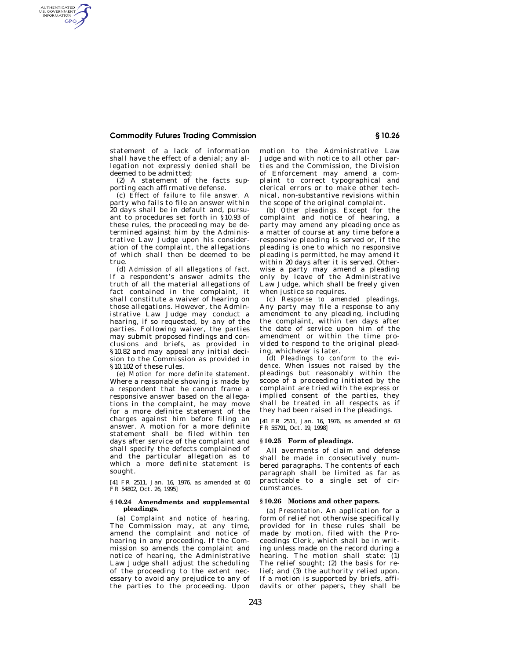## **Commodity Futures Trading Commission § 10.26**

AUTHENTICATED<br>U.S. GOVERNMENT<br>INFORMATION **GPO** 

> statement of a lack of information shall have the effect of a denial; any allegation not expressly denied shall be deemed to be admitted;

(2) A statement of the facts supporting each affirmative defense.

(c) *Effect of failure to file answer.* A party who fails to file an answer within 20 days shall be in default and, pursuant to procedures set forth in §10.93 of these rules, the proceeding may be determined against him by the Administrative Law Judge upon his consideration of the complaint, the allegations of which shall then be deemed to be true.

(d) *Admission of all allegations of fact.*  If a respondent's answer admits the truth of all the material allegations of fact contained in the complaint, it shall constitute a waiver of hearing on those allegations. However, the Administrative Law Judge may conduct a hearing, if so requested, by any of the parties. Following waiver, the parties may submit proposed findings and conclusions and briefs, as provided in §10.82 and may appeal any initial decision to the Commission as provided in §10.102 of these rules.

(e) *Motion for more definite statement.*  Where a reasonable showing is made by a respondent that he cannot frame a responsive answer based on the allegations in the complaint, he may move for a more definite statement of the charges against him before filing an answer. A motion for a more definite statement shall be filed within ten days after service of the complaint and shall specify the defects complained of and the particular allegation as to which a more definite statement is sought.

[41 FR 2511, Jan. 16, 1976, as amended at 60 FR 54802, Oct. 26, 1995]

#### **§ 10.24 Amendments and supplemental pleadings.**

(a) *Complaint and notice of hearing.*  The Commission may, at any time, amend the complaint and notice of hearing in any proceeding. If the Commission so amends the complaint and notice of hearing, the Administrative Law Judge shall adjust the scheduling of the proceeding to the extent necessary to avoid any prejudice to any of the parties to the proceeding. Upon

motion to the Administrative Law Judge and with notice to all other parties and the Commission, the Division of Enforcement may amend a complaint to correct typographical and clerical errors or to make other technical, non-substantive revisions within the scope of the original complaint.

(b) *Other pleadings.* Except for the complaint and notice of hearing, a party may amend any pleading once as a matter of course at any time before a responsive pleading is served or, if the pleading is one to which no responsive pleading is permitted, he may amend it within 20 days after it is served. Otherwise a party may amend a pleading only by leave of the Administrative Law Judge, which shall be freely given when justice so requires.

(c) *Response to amended pleadings.*  Any party may file a response to any amendment to any pleading, including the complaint, within ten days after the date of service upon him of the amendment or within the time provided to respond to the original pleading, whichever is later.

(d) *Pleadings to conform to the evidence.* When issues not raised by the pleadings but reasonably within the scope of a proceeding initiated by the complaint are tried with the express or implied consent of the parties, they shall be treated in all respects as if they had been raised in the pleadings.

[41 FR 2511, Jan. 16, 1976, as amended at 63 FR 55791, Oct. 19, 1998]

## **§ 10.25 Form of pleadings.**

All averments of claim and defense shall be made in consecutively numbered paragraphs. The contents of each paragraph shall be limited as far as practicable to a single set of circumstances.

#### **§ 10.26 Motions and other papers.**

(a) *Presentation.* An application for a form of relief not otherwise specifically provided for in these rules shall be made by motion, filed with the Proceedings Clerk, which shall be in writing unless made on the record during a hearing. The motion shall state: (1) The relief sought; (2) the basis for relief; and (3) the authority relied upon. If a motion is supported by briefs, affidavits or other papers, they shall be